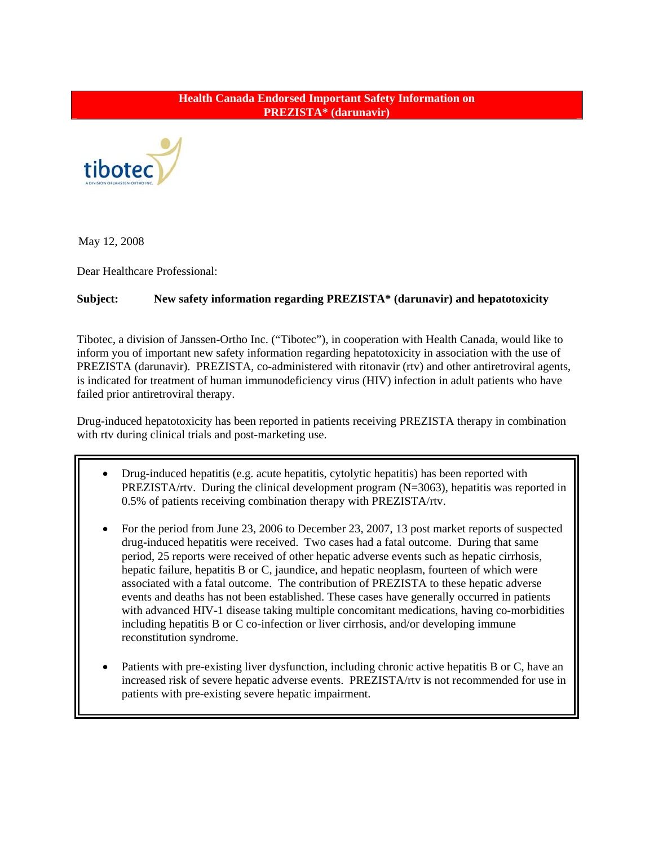## **Health Canada Endorsed Important Safety Information on PREZISTA\* (darunavir)**



May 12, 2008

Dear Healthcare Professional:

## **Subject: New safety information regarding PREZISTA\* (darunavir) and hepatotoxicity**

Tibotec, a division of Janssen-Ortho Inc. ("Tibotec"), in cooperation with Health Canada, would like to inform you of important new safety information regarding hepatotoxicity in association with the use of PREZISTA (darunavir). PREZISTA, co-administered with ritonavir (rtv) and other antiretroviral agents, is indicated for treatment of human immunodeficiency virus (HIV) infection in adult patients who have failed prior antiretroviral therapy.

Drug-induced hepatotoxicity has been reported in patients receiving PREZISTA therapy in combination with rtv during clinical trials and post-marketing use.

- Drug-induced hepatitis (e.g. acute hepatitis, cytolytic hepatitis) has been reported with PREZISTA/rtv. During the clinical development program (N=3063), hepatitis was reported in 0.5% of patients receiving combination therapy with PREZISTA/rtv.
- For the period from June 23, 2006 to December 23, 2007, 13 post market reports of suspected drug-induced hepatitis were received. Two cases had a fatal outcome. During that same period, 25 reports were received of other hepatic adverse events such as hepatic cirrhosis, hepatic failure, hepatitis B or C, jaundice, and hepatic neoplasm, fourteen of which were associated with a fatal outcome. The contribution of PREZISTA to these hepatic adverse events and deaths has not been established. These cases have generally occurred in patients with advanced HIV-1 disease taking multiple concomitant medications, having co-morbidities including hepatitis B or C co-infection or liver cirrhosis, and/or developing immune reconstitution syndrome.
- Patients with pre-existing liver dysfunction, including chronic active hepatitis B or C, have an increased risk of severe hepatic adverse events. PREZISTA/rtv is not recommended for use in patients with pre-existing severe hepatic impairment.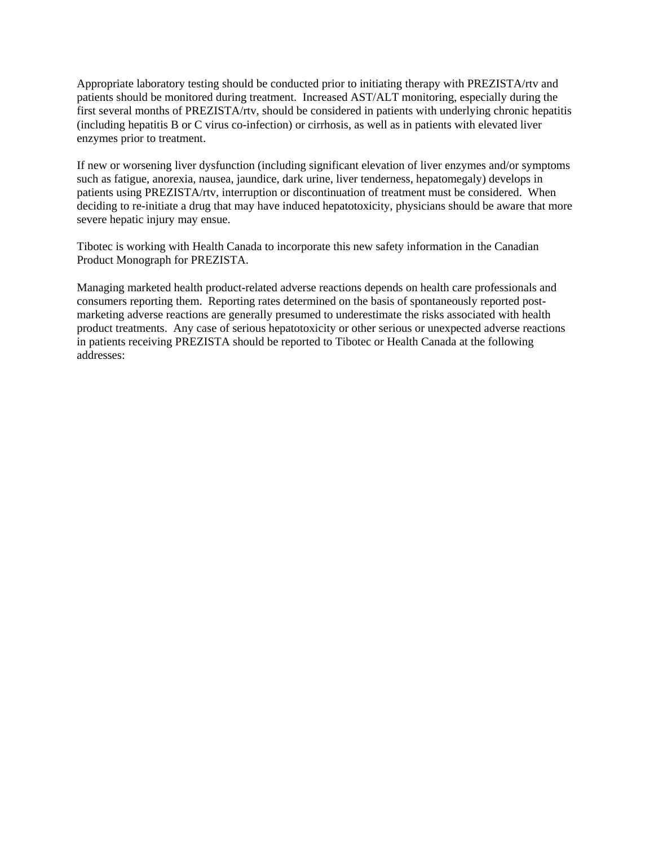Appropriate laboratory testing should be conducted prior to initiating therapy with PREZISTA/rtv and patients should be monitored during treatment. Increased AST/ALT monitoring, especially during the first several months of PREZISTA/rtv, should be considered in patients with underlying chronic hepatitis (including hepatitis B or C virus co-infection) or cirrhosis, as well as in patients with elevated liver enzymes prior to treatment.

If new or worsening liver dysfunction (including significant elevation of liver enzymes and/or symptoms such as fatigue, anorexia, nausea, jaundice, dark urine, liver tenderness, hepatomegaly) develops in patients using PREZISTA/rtv, interruption or discontinuation of treatment must be considered. When deciding to re-initiate a drug that may have induced hepatotoxicity, physicians should be aware that more severe hepatic injury may ensue.

Tibotec is working with Health Canada to incorporate this new safety information in the Canadian Product Monograph for PREZISTA.

Managing marketed health product-related adverse reactions depends on health care professionals and consumers reporting them. Reporting rates determined on the basis of spontaneously reported postmarketing adverse reactions are generally presumed to underestimate the risks associated with health product treatments. Any case of serious hepatotoxicity or other serious or unexpected adverse reactions in patients receiving PREZISTA should be reported to Tibotec or Health Canada at the following addresses: